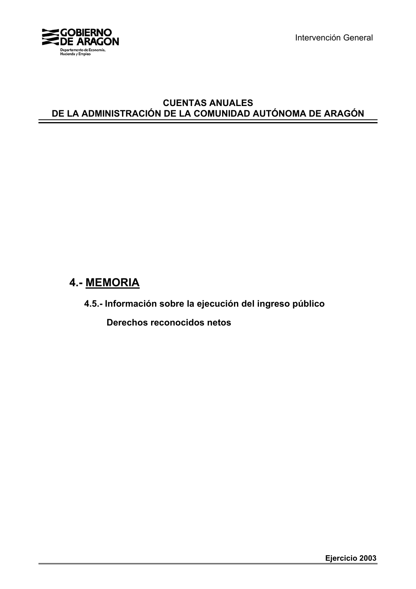

Intervención General

## **CUENTAS ANUALES DE LA ADMINISTRACIÓN DE LA COMUNIDAD AUTÓNOMA DE ARAGÓN**

# **4.- MEMORIA**

**4.5.- Información sobre la ejecución del ingreso público**

 **Derechos reconocidos netos**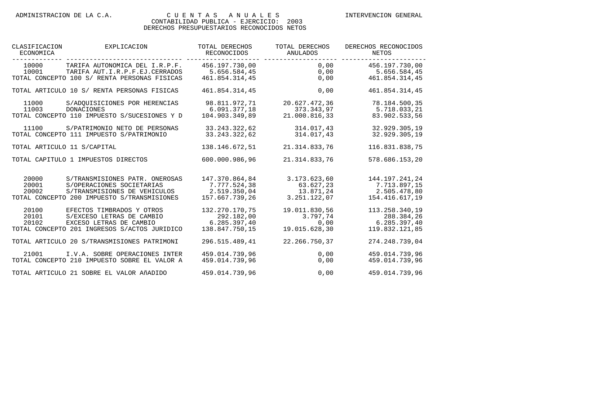| CLASIFICACION<br>ECONOMICA | EXPLICACION                                                                                                                                | TOTAL DERECHOS<br>RECONOCIDOS                                    | TOTAL DERECHOS<br>ANULADOS                             | DERECHOS RECONOCIDOS<br>NETOS                                    |
|----------------------------|--------------------------------------------------------------------------------------------------------------------------------------------|------------------------------------------------------------------|--------------------------------------------------------|------------------------------------------------------------------|
| 10000<br>10001             | TARIFA AUTONOMICA DEL I.R.P.F.<br>TARIFA AUT.I.R.P.F.EJ.CERRADOS<br>TOTAL CONCEPTO 100 S/ RENTA PERSONAS FISICAS                           | 456.197.730,00<br>5.656.584,45<br>461.854.314,45                 | --------------<br>$0$ , $00$<br>0,00<br>0,00           | 456.197.730,00<br>5.656.584,45<br>461.854.314,45                 |
|                            | TOTAL ARTICULO 10 S/ RENTA PERSONAS FISICAS                                                                                                | 461.854.314,45                                                   | 0,00                                                   | 461.854.314,45                                                   |
| 11000<br>11003             | S/ADOUISICIONES POR HERENCIAS<br><b>DONACIONES</b><br>TOTAL CONCEPTO 110 IMPUESTO S/SUCESIONES Y D                                         | 98.811.972,71<br>6.091.377,18<br>104.903.349,89                  | 20.627.472,36<br>373.343,97<br>21.000.816,33           | 78.184.500,35<br>5.718.033,21<br>83.902.533,56                   |
| 11100                      | S/PATRIMONIO NETO DE PERSONAS<br>TOTAL CONCEPTO 111 IMPUESTO S/PATRIMONIO                                                                  | 33.243.322,62<br>33.243.322,62                                   | 314.017,43<br>314.017,43                               | 32.929.305,19<br>32.929.305,19                                   |
|                            | TOTAL ARTICULO 11 S/CAPITAL                                                                                                                | 138.146.672,51                                                   | 21.314.833,76                                          | 116.831.838,75                                                   |
|                            | TOTAL CAPITULO 1 IMPUESTOS DIRECTOS                                                                                                        | 600.000.986,96                                                   | 21.314.833,76                                          | 578.686.153,20                                                   |
| 20000<br>20001<br>20002    | S/TRANSMISIONES PATR. ONEROSAS<br>S/OPERACIONES SOCIETARIAS<br>S/TRANSMISIONES DE VEHICULOS<br>TOTAL CONCEPTO 200 IMPUESTO S/TRANSMISIONES | 147.370.864,84<br>7.777.524,38<br>2.519.350.04<br>157.667.739,26 | 3.173.623,60<br>63.627,23<br>13.871,24<br>3.251.122,07 | 144.197.241,24<br>7.713.897,15<br>2.505.478,80<br>154.416.617,19 |
| 20100<br>20101<br>20102    | EFECTOS TIMBRADOS Y OTROS<br>S/EXCESO LETRAS DE CAMBIO<br>EXCESO LETRAS DE CAMBIO<br>TOTAL CONCEPTO 201 INGRESOS S/ACTOS JURIDICO          | 132.270.170,75<br>292.182,00<br>6.285.397.40<br>138.847.750.15   | 19.011.830,56<br>3.797,74<br>0,00<br>19.015.628,30     | 113.258.340,19<br>288.384,26<br>6.285.397,40<br>119.832.121,85   |
|                            | TOTAL ARTICULO 20 S/TRANSMISIONES PATRIMONI                                                                                                | 296.515.489.41                                                   | 22.266.750,37                                          | 274.248.739.04                                                   |
| 21001                      | I.V.A. SOBRE OPERACIONES INTER<br>TOTAL CONCEPTO 210 IMPUESTO SOBRE EL VALOR A                                                             | 459.014.739,96<br>459.014.739.96                                 | 0,00<br>0,00                                           | 459.014.739,96<br>459.014.739,96                                 |
|                            | TOTAL ARTICULO 21 SOBRE EL VALOR AÑADIDO                                                                                                   | 459.014.739,96                                                   | 0,00                                                   | 459.014.739,96                                                   |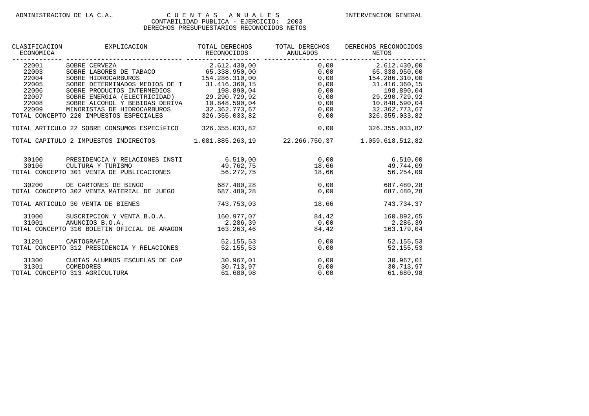| CLASIFICACION<br>ECONOMICA                                                      | EXPLICACION                                                                                                                                                                                                                                                                                              | TOTAL DERECHOS                      | TOTAL DERECHOS       | DERECHOS RECONOCIDOS                                 |
|---------------------------------------------------------------------------------|----------------------------------------------------------------------------------------------------------------------------------------------------------------------------------------------------------------------------------------------------------------------------------------------------------|-------------------------------------|----------------------|------------------------------------------------------|
| 22001<br>$22003$<br>22004<br>22004<br>22005<br>22006<br>22007<br>22008<br>22009 | CORRE CERVEZ<br>SOBRE ENEOS DE TABACO<br>SOBRE EINEOCARBUROS<br>SOBRE HIDROCARBUROS<br>SOBRE ENEOS DE T<br>SOBRE DETERMINADOS MEDIOS DE T<br>SOBRE DETERMINADOS MEDIOS DE T<br>31.416.360,15<br>SOBRE PRODUCTOS INTERMEDIOS<br>SOBRE PRODUCTOS<br>TOTAL CONCEPTO 220 IMPUESTOS ESPECIALES 326.355.033,82 |                                     | 0,00                 | 326.355.033,82                                       |
|                                                                                 | TOTAL ARTICULO 22 SOBRE CONSUMOS ESPECÍFICO 326.355.033,82 0,00                                                                                                                                                                                                                                          |                                     |                      | 326.355.033,82                                       |
|                                                                                 | TOTAL CAPITULO 2 IMPUESTOS INDIRECTOS 1.081.885.263,19 22.266.750,37 1.059.618.512,82                                                                                                                                                                                                                    |                                     |                      |                                                      |
| 30100<br>30106                                                                  | PRESIDENCIA Y RELACIONES INSTI $6.510,00$ $6.500,00$ $6.510,00$<br>CULTURA Y TURISMO<br>30106 CULTURA Y TURISMO<br>TOTAL CONCEPTO 301 VENTA DE PUBLICACIONES 56.272,75                                                                                                                                   |                                     | 18,66                | $49.762.75$ $18.66$ $49.744.09$<br>56.254,09         |
|                                                                                 | 30200 DE CARTONES DE BINGO 687.480,28 0,00<br>TOTAL CONCEPTO 302 VENTA MATERIAL DE JUEGO 687.480,28 0,00                                                                                                                                                                                                 |                                     |                      | 687.480,28<br>687.480.28                             |
|                                                                                 | TOTAL ARTICULO 30 VENTA DE BIENES                                                                                                                                                                                                                                                                        | 743.753,03                          | 18,66                | 743.734,37                                           |
| 31000<br>31001                                                                  | SUSCRIPCION Y VENTA B.O.A. 160.977,07 84,42<br>ANUNCIOS B.O.A.<br>TOTAL CONCEPTO 310 BOLETIN OFICIAL DE ARAGON 163.263,46                                                                                                                                                                                |                                     | 84,42                | 160.892,65<br>$2.286,39$ 0,00 2.286,39<br>163.179,04 |
| 31201                                                                           | CARTOGRAFIA<br>TOTAL CONCEPTO 312 PRESIDENCIA Y RELACIONES                                                                                                                                                                                                                                               | 52.155,53<br>52.155,53              | 0,00                 | 0,00<br>52.155,53<br>52.155,53                       |
| 31300<br>31301                                                                  | CUOTAS ALUMNOS ESCUELAS DE CAP<br>COMEDORES<br>TOTAL CONCEPTO 313 AGRICULTURA                                                                                                                                                                                                                            | 30.967,01<br>30.713,97<br>61.680,98 | 0,00<br>0,00<br>0,00 | 30.967,01<br>30.713,97<br>61.680,98                  |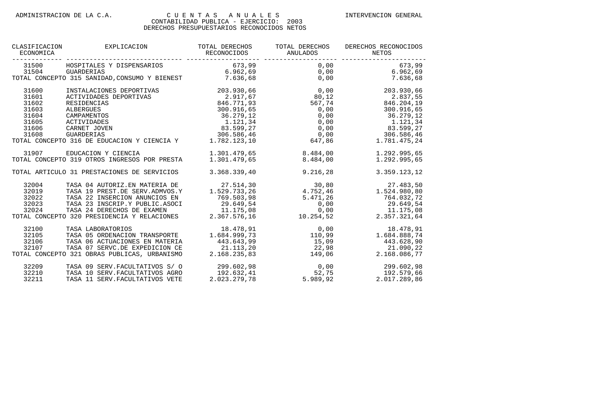| CLASIFICACION<br>ECONOMICA | EXPLICACION                                                                                                                                                                                                                                                                                                                                 | TOTAL DERECHOS<br>RECONOCIDOS | TOTAL DERECHOS<br><b>ANULADOS</b>                          | DERECHOS RECONOCIDOS<br>NETOS                                                                                  |
|----------------------------|---------------------------------------------------------------------------------------------------------------------------------------------------------------------------------------------------------------------------------------------------------------------------------------------------------------------------------------------|-------------------------------|------------------------------------------------------------|----------------------------------------------------------------------------------------------------------------|
|                            |                                                                                                                                                                                                                                                                                                                                             |                               |                                                            |                                                                                                                |
|                            |                                                                                                                                                                                                                                                                                                                                             |                               |                                                            |                                                                                                                |
|                            |                                                                                                                                                                                                                                                                                                                                             |                               |                                                            |                                                                                                                |
| 31600                      | INSTALACIONES DEPORTIVAS 203.930,66                                                                                                                                                                                                                                                                                                         |                               | 0, 00                                                      | 203.930,66                                                                                                     |
| 31601                      | ACTIVIDADES DEPORTIVAS                                                                                                                                                                                                                                                                                                                      | $2.917,67$ 80,12              |                                                            | 2.837,55                                                                                                       |
| 31602                      | RESIDENCIAS                                                                                                                                                                                                                                                                                                                                 |                               |                                                            | 846.771,93 567,74 846.204,19                                                                                   |
| 31603                      | ALBERGUES                                                                                                                                                                                                                                                                                                                                   |                               |                                                            | 300.916,65                                                                                                     |
| 31604                      | CAMPAMENTOS                                                                                                                                                                                                                                                                                                                                 |                               |                                                            | 36.279.12                                                                                                      |
| 31605                      | ACTIVIDADES                                                                                                                                                                                                                                                                                                                                 |                               |                                                            | 1.121,34                                                                                                       |
| 31606                      | CARNET JOVEN                                                                                                                                                                                                                                                                                                                                |                               |                                                            | 83.599,27                                                                                                      |
| 31608                      | GUARDERIAS                                                                                                                                                                                                                                                                                                                                  |                               |                                                            | $306.586,46$ $0,00$ $306.586,46$                                                                               |
|                            | EPORTIVAS<br>$300.916, 65$<br>$36.279, 12$<br>$1.21, 34$<br>$83.599, 27$<br>$306.586, 46$<br>$0, 00$<br>$0, 00$<br>$0, 00$<br>$0, 00$<br>$0, 00$<br>$0, 00$<br>$0, 00$<br>$0, 00$<br>$0, 00$<br>$0, 00$<br>$0, 00$<br>$0, 00$<br>$0, 00$<br>$0, 00$<br>$0, 00$<br>$0, 0$<br>TOTAL CONCEPTO 316 DE EDUCACION Y CIENCIA Y 1.782.123,10 647,86 |                               |                                                            | 1.781.475,24                                                                                                   |
| 31907                      | EDUCACION Y CIENCIA                                                                                                                                                                                                                                                                                                                         |                               | 1.301.479,65 8.484,00                                      | 1.292.995,65                                                                                                   |
|                            | TOTAL CONCEPTO 319 OTROS INGRESOS POR PRESTA                                                                                                                                                                                                                                                                                                | 1.301.479.65                  | 8.484,00                                                   | 1.292.995,65                                                                                                   |
|                            | TOTAL ARTICULO 31 PRESTACIONES DE SERVICIOS                                                                                                                                                                                                                                                                                                 | 3.368.339,40                  | 9.216,28                                                   | 3.359.123,12                                                                                                   |
| 32004                      | TASA 04 AUTORIZ.EN MATERIA DE                                                                                                                                                                                                                                                                                                               | 27.514,30                     |                                                            | $30,80$<br>$4.752,46$<br>$1.524.980,80$                                                                        |
| 32019                      | TASA 19 PREST.DE SERV.ADMVOS.Y                                                                                                                                                                                                                                                                                                              | 1.529.733,26                  |                                                            |                                                                                                                |
| 32022                      | TASA 22 INSERCION ANUNCIOS EN                                                                                                                                                                                                                                                                                                               | 769.503,98                    | 5.471,26                                                   | 764.032,72                                                                                                     |
| 32023                      | TASA 23 INSCRIP.Y PUBLIC.ASOCI                                                                                                                                                                                                                                                                                                              |                               |                                                            | 29.649,54                                                                                                      |
| 32024                      | TASA 24 DERECHOS DE EXAMEN                                                                                                                                                                                                                                                                                                                  |                               | 0,00                                                       |                                                                                                                |
|                            | TOTAL CONCEPTO 320 PRESIDENCIA Y RELACIONES                                                                                                                                                                                                                                                                                                 |                               | 29.649,54 0,00<br>11.175,08 0,00<br>2.367.576,16 10.254,52 | $\begin{array}{cc} & 0\, , 00 & & 11\, .175\, , 08 \\ 10\, .254\, , 52 & & 2\, .357\, .321\, , 64 \end{array}$ |
| 32100                      | TASA LABORATORIOS                                                                                                                                                                                                                                                                                                                           |                               |                                                            | $\begin{array}{cccc} 18.478, 91 & 0, 00 & 18.478, 91 \\ 1.684.999, 73 & 110, 99 & 1.684.888, 74 \end{array}$   |
| 32105                      | TASA 05 ORDENACION TRANSPORTE                                                                                                                                                                                                                                                                                                               |                               |                                                            |                                                                                                                |
| 32106                      | TASA 06 ACTUACIONES EN MATERIA                                                                                                                                                                                                                                                                                                              | 443.643,99                    | 15,09                                                      | 443.628,90                                                                                                     |
| 32107                      | TASA 07 SERVC.DE EXPEDICION CE                                                                                                                                                                                                                                                                                                              | $21.113,20$<br>$2.168.235,83$ |                                                            | 21.090,22                                                                                                      |
|                            | TOTAL CONCEPTO 321 OBRAS PUBLICAS, URBANISMO                                                                                                                                                                                                                                                                                                |                               | $22,98$<br>$149,06$                                        | 2.168.086,77                                                                                                   |
| 32209                      | TASA 09 SERV. FACULTATIVOS S/ 0                                                                                                                                                                                                                                                                                                             |                               |                                                            | 299.602,98 0,00 299.602,98<br>192.632,41 52,75 192.579,66<br>2.023.279,78 5.989,92 2.017.289,86                |
| 32210                      | TASA 10 SERV. FACULTATIVOS AGRO                                                                                                                                                                                                                                                                                                             |                               |                                                            | 192.579,66                                                                                                     |
| 32211                      | TASA 11 SERV. FACULTATIVOS VETE                                                                                                                                                                                                                                                                                                             |                               |                                                            |                                                                                                                |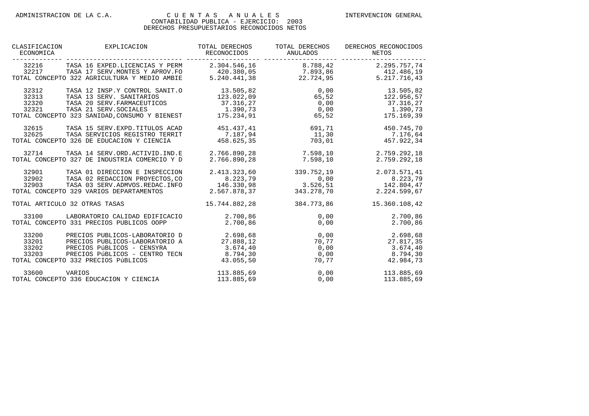| CLASIFICACION<br>EXPLICACION<br>ECONOMICA                                                                                                                                                                                                                 | TOTAL DERECHOS<br>RECONOCIDOS                            | TOTAL DERECHOS<br>ANULADOS                          | DERECHOS RECONOCIDOS<br>NETOS                                                                        |
|-----------------------------------------------------------------------------------------------------------------------------------------------------------------------------------------------------------------------------------------------------------|----------------------------------------------------------|-----------------------------------------------------|------------------------------------------------------------------------------------------------------|
| 32216<br>TASA 16 EXPED.LICENCIAS Y PERM<br>TASA 17 SERV. MONTES Y APROV. FO 420.380,05 7.893,86 412.486,19<br>32217<br>TOTAL CONCEPTO 322 AGRICULTURA Y MEDIO AMBIE                                                                                       |                                                          | 2.304.546,16 8.788,42<br>$5.240.441,38$ $22.724,95$ | 2.295.757,74<br>5.217.716,43                                                                         |
| 32312<br>TASA 12 INSP.Y CONTROL SANIT.O<br>32313<br>TASA 13 SERV. SANITARIOS<br>TASA 20 SERV. FARMACEUTICOS 37.316, 27<br>32320<br>32321<br>TASA 21 SERV. SOCIALES<br>TOTAL CONCEPTO 323 SANIDAD, CONSUMO Y BIENEST 175.234, 91                           | 13.505,82<br>123.022,09                                  | 65, 52<br>65, 52                                    | $0,00$ $13.505,82$<br>122.956,57<br>$0,00$ 37.316,27<br>$1.390, 73$ $0.00$ $1.390, 73$<br>175.169,39 |
| 32615<br>TASA 15 SERV. EXPD. TITULOS ACAD<br>32625<br>TASA SERVICIOS REGISTRO TERRIT<br>TOTAL CONCEPTO 326 DE EDUCACION Y CIENCIA                                                                                                                         | 451.437,41<br>7.187,94<br>458.625,35                     | 691,71<br>11, 30<br>703,01                          | 450.745,70<br>7.176,64<br>457.922,34                                                                 |
| 32714<br>TASA 14 SERV.ORD.ACTIVID.IND.E<br>TOTAL CONCEPTO 327 DE INDUSTRIA COMERCIO Y D                                                                                                                                                                   | 2.766.890,28<br>2.766.890.28                             | 7.598, 10<br>7.598.10                               | 2.759.292,18<br>2.759.292.18                                                                         |
| 32901<br>TASA 01 DIRECCION E INSPECCION<br>32902<br>TASA 02 REDACCION PROYECTOS, CO<br>32903<br>TASA 03 SERV.ADMVOS.REDAC.INFO<br>TOTAL CONCEPTO 329 VARIOS DEPARTAMENTOS                                                                                 | 2.413.323,60<br>$8.223,79$<br>146.330,98<br>2.567.878,37 | 339.752,19<br>$0,00$<br>3.526,51<br>343.278,70      | 2.073.571,41<br>8.223,79<br>142.804,47<br>2.224.599,67                                               |
| TOTAL ARTICULO 32 OTRAS TASAS                                                                                                                                                                                                                             | 15.744.882,28                                            | 384.773,86                                          | 15.360.108,42                                                                                        |
| 33100<br>LABORATORIO CALIDAD EDIFICACIO<br>TOTAL CONCEPTO 331 PRECIOS PUBLICOS OOPP                                                                                                                                                                       | 2.700,86<br>2.700,86                                     | 0,00<br>0,00                                        | 2.700,86<br>2.700,86                                                                                 |
| 33200<br>PRECIOS PUBLICOS-LABORATORIO D<br>33201<br>PRECIOS PUBLICOS-LABORATORIO A<br>33202<br>PRECIOS PÚBLICOS - CENSYRA<br>PRECIOS PÚBLICOS - CENTRO TECN 8.794,30<br>9332 PRECIOS PÚBLICOS - 43.055,50<br>33203<br>TOTAL CONCEPTO 332 PRECIOS PÚBLICOS | 2.698,68<br>27.888,12<br>3.674, 40                       | 0,00<br>70, 77<br>0,00<br>0,00                      | 2.698,68<br>27.817,35<br>3.674, 40<br>8.794,30<br>70, 77<br>42.984,73                                |
| 33600<br>VARIOS<br>TOTAL CONCEPTO 336 EDUCACION Y CIENCIA                                                                                                                                                                                                 | $113.885.69$ 0.00                                        | $113.885,69$ 0,00                                   | 113.885,69<br>113.885,69                                                                             |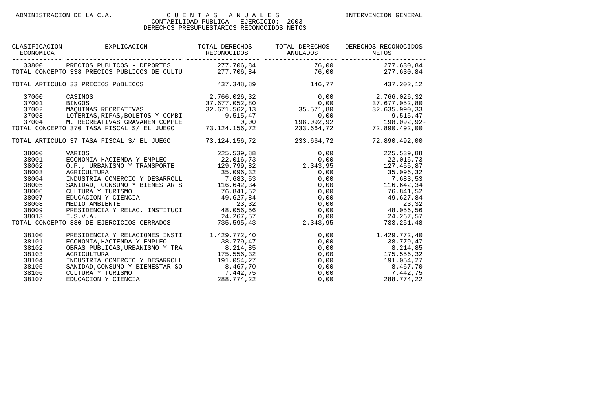| CLASIFICACION<br>ECONOMICA                                                                      | EXPLICACION                                                                                                                                                                                                                                                                                                                                                                                                                                                                                    | TOTAL DERECHOS                                                                                           | TOTAL DERECHOS                                     | DERECHOS RECONOCIDOS                                                                                                                                                                                                                                                                                                       |
|-------------------------------------------------------------------------------------------------|------------------------------------------------------------------------------------------------------------------------------------------------------------------------------------------------------------------------------------------------------------------------------------------------------------------------------------------------------------------------------------------------------------------------------------------------------------------------------------------------|----------------------------------------------------------------------------------------------------------|----------------------------------------------------|----------------------------------------------------------------------------------------------------------------------------------------------------------------------------------------------------------------------------------------------------------------------------------------------------------------------------|
| 33800                                                                                           | PRECIOS PUBLICOS - DEPORTES 277.706,84 76,00 277.630,84<br>TOTAL CONCEPTO 338 PRECIOS PUBLICOS DE CULTU 277.706,84 76,00 76,00 277.630,84                                                                                                                                                                                                                                                                                                                                                      |                                                                                                          |                                                    |                                                                                                                                                                                                                                                                                                                            |
|                                                                                                 | TOTAL ARTICULO 33 PRECIOS PÚBLICOS                                                                                                                                                                                                                                                                                                                                                                                                                                                             | 437.348,89 146,77                                                                                        |                                                    | 437.202,12                                                                                                                                                                                                                                                                                                                 |
| 37000<br>37001<br>37002<br>37004                                                                | 2.766.026,32<br>2.766.026,32<br>37.677.052,80<br>37.677.052,80<br>32.635.990,33<br>32.635.990,33<br>CASINOS<br>BINGOS<br>MAQUINAS RECREATIVAS<br>37003 LOTERIAS, RIFAS, BOLETOS Y COMBI<br>M. RECREATIVAS GRAVAMEN COMPLE<br>TOTAL CONCEPTO 370 TASA FISCAL S/ EL JUEGO                                                                                                                                                                                                                        | 73.124.156,72                                                                                            | 233.664,72                                         | $9.515,47$<br>9.515,47<br>0,00<br>198.092,92<br>198.092,92<br>72.890.492,00                                                                                                                                                                                                                                                |
|                                                                                                 | TOTAL ARTICULO 37 TASA FISCAL S/ EL JUEGO 73.124.156,72 233.664,72                                                                                                                                                                                                                                                                                                                                                                                                                             |                                                                                                          |                                                    | 72.890.492,00                                                                                                                                                                                                                                                                                                              |
| 38000<br>38001<br>38002<br>38003<br>38004<br>38005<br>38006<br>38007<br>38008<br>38009<br>38013 | VARIOS<br>ECONOMIA HACIENDA Y EMPLEO 22.016,73 0,00 225.539,88<br>0,00 22.016,73 0.P., URBANISMO Y TRANSPORTE 129.799,82 2.343,95 127.455,87<br>AGRICULTURA 35.096,32<br>INDUSTRIA COMERCIO Y DESARROLL 7.683,53<br>NATURA Y TURISMO<br>EDUCACION Y CIENCIA<br>MEDIO AMBIENTE 23,32<br>PRESIDENCIA 49.627,84<br>MEDIO AMBIENTE 23,32<br>PRESIDENCIA Y RELAC. INSTITUCI 48.056,56<br>I.S.V.A. 24.267,57<br>0 380 DE EJERCICIOS CERRADOS 735.595,43<br>TOTAL CONCEPTO 380 DE EJERCICIOS CERRADOS |                                                                                                          | 0,00<br>0,00<br>0,00<br>0,00<br>$0,00$<br>2.343,95 | 35.096,32 0,00 35.096,32<br>76.841,52<br>49.627,84<br>$23,32$<br>$48.056,56$<br>24.267,57<br>733.251,48                                                                                                                                                                                                                    |
| 38100<br>38101<br>38102<br>38103<br>38104<br>38105<br>38106<br>38107                            | PRESIDENCIA Y RELACIONES INSTI<br>ECONOMIA, HACIENDA Y EMPLEO<br>OBRAS PUBLICAS, URBANISMO Y TRA<br>AGRICULTURA<br>INDUSTRIA COMERCIO Y DESARROLL<br>SANIDAD, CONSUMO Y BIENESTAR SO<br>CULTURA Y TURISMO<br>EDUCACION Y CIENCIA                                                                                                                                                                                                                                                               | 1.429.772, 40<br>38.779,47<br>8.214,85<br>175.556,32<br>191.054,27<br>8.467,70<br>7.442,75<br>288.774,22 | 0,00                                               | 0,00<br>1.429.772,40<br>$\begin{array}{cccc} 0\, , 00 & & & 1.429\, .\, 72\, , 40\, \\ 0\, , 00 & & & 38\, .779\, , 47\, \\ 0\, , 00 & & & 8\, .214\, , 85\, \\ 0\, , 00 & & & 175\, .556\, , 32\, \\ 0\, , 00 & & & 191\, .054\, , 27\, \\ 0\, , 00 & & & 8\, .467\, , 70\, \end{array}$<br>7.442,75<br>$0,00$ 288.774,22 |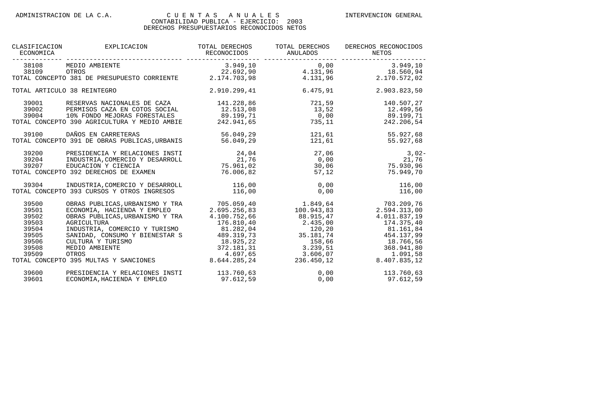| CLASIFICACION<br>ECONOMICA                                                    | EXPLICACION                                                                                                                                                                                                                                                                              | TOTAL DERECHOS                              | TOTAL DERECHOS                                  | DERECHOS RECONOCIDOS                                                                                                                                                                                                                                                                                          |
|-------------------------------------------------------------------------------|------------------------------------------------------------------------------------------------------------------------------------------------------------------------------------------------------------------------------------------------------------------------------------------|---------------------------------------------|-------------------------------------------------|---------------------------------------------------------------------------------------------------------------------------------------------------------------------------------------------------------------------------------------------------------------------------------------------------------------|
| 38108<br>38109                                                                | MEDIO AMBIENTE<br>OTROS<br>TOTAL CONCEPTO 381 DE PRESUPUESTO CORRIENTE 2.174.703,98                                                                                                                                                                                                      |                                             |                                                 | $3.949,10$<br>$22.692,90$<br>$4.131.96$<br>$18.56094$<br>$22.692,90$<br>$2.174.703,98$<br>$4.131,96$<br>$4.131,96$<br>$4.131,96$<br>$2.170.572,02$                                                                                                                                                            |
|                                                                               | TOTAL ARTICULO 38 REINTEGRO                                                                                                                                                                                                                                                              | 2.910.299,41                                | 6.475,91                                        | 2.903.823,50                                                                                                                                                                                                                                                                                                  |
| 39001<br>39004                                                                | RESERVAS NACIONALES DE CAZA 141.228,86<br>39002 PERMISOS CAZA EN COTOS SOCIAL<br>10% FONDO MEJORAS FORESTALES 69.199,71<br>TOTAL CONCEPTO 390 AGRICULTURA Y MEDIO AMBIE 242.941,65                                                                                                       | 12.513,08                                   | 721,59                                          | 140.507,27<br>$13,52$ $12.499,56$<br>$0,00$ 89.199,71<br>735,11<br>242.206,54                                                                                                                                                                                                                                 |
|                                                                               | 39100 DAÑOS EN CARRETERAS<br>TOTAL CONCEPTO 391 DE OBRAS PUBLICAS, URBANIS                                                                                                                                                                                                               | 56.049,29<br>56.049,29                      | 121,61<br>121,61                                | 55.927,68<br>55.927,68                                                                                                                                                                                                                                                                                        |
| 39200<br>39204<br>39207                                                       | PRESIDENCIA Y RELACIONES INSTI<br>INDUSTRIA, COMERCIO Y DESARROLL<br>EDUCACION Y CIENCIA<br>TOTAL CONCEPTO 392 DERECHOS DE EXAMEN                                                                                                                                                        | 24,04<br>21,76<br>75.961,02<br>76.006,82    | 27,06<br>0,00<br>30,06<br>57,12                 | $3,02-$<br>21,76<br>75.930,96<br>75.949.70                                                                                                                                                                                                                                                                    |
| 39304                                                                         | INDUSTRIA, COMERCIO Y DESARROLL<br>TOTAL CONCEPTO 393 CURSOS Y OTROS INGRESOS                                                                                                                                                                                                            | 116,00<br>116,00                            | 0.00<br>0,00                                    | 116,00<br>116,00                                                                                                                                                                                                                                                                                              |
| 39500<br>39501<br>39502<br>39503<br>39504<br>39505<br>39506<br>39508<br>39509 | OBRAS PUBLICAS, URBANISMO Y TRA 705.059, 40<br>ECONOMIA, HACIENDA Y EMPLEO<br>OBRAS PUBLICAS, URBANISMO Y TRA<br>AGRICULTURA<br>INDUSTRIA, COMERCIO Y TURISMO<br>SANIDAD, CONSUMO Y BIENESTAR S<br>CULTURA Y TURISMO<br>MEDIO AMBIENTE<br>OTROS<br>TOTAL CONCEPTO 395 MULTAS Y SANCIONES | 2.695.256, 83<br>4.100.752,66<br>176.810,40 | 1.849,64<br>100.943,83<br>88.915,47<br>2.435,00 | 703.209,76<br>2.594.313,00<br>4.011.837,19<br>174.375,40<br>RCIO Y TURISMO<br>0 Y BIENESTAR S<br>0 Y BIENESTAR S<br>$372.181,31$<br>ANCIONES<br>ANCIONES<br>ANCIONES<br>ANCIONES<br>ANCIONES<br>3.644.285,24<br>33.239,51<br>3.606,07<br>3.606,07<br>3.4.4597,65<br>3.4.4597,65<br>3.606,07<br>3.4.407.835,12 |
| 39600<br>39601                                                                | PRESIDENCIA Y RELACIONES INSTI<br>ECONOMIA, HACIENDA Y EMPLEO                                                                                                                                                                                                                            | 113.760,63<br>97.612,59                     |                                                 | 0,00<br>113.760,63<br>$0,00$ 97.612,59                                                                                                                                                                                                                                                                        |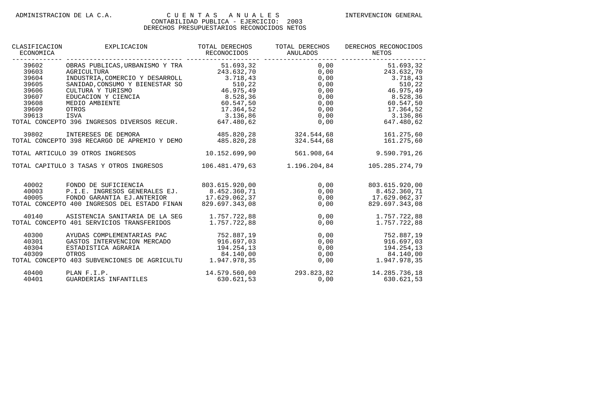| CLASIFICACION<br>ECONOMICA                                                    | EXPLICACION                                                                                                                                                                                                                                                                                                  | TOTAL DERECHOS<br>RECONOCIDOS | TOTAL DERECHOS<br>ANULADOS              | DERECHOS RECONOCIDOS<br>NETOS                                                                                                                                                                                                                                                                     |
|-------------------------------------------------------------------------------|--------------------------------------------------------------------------------------------------------------------------------------------------------------------------------------------------------------------------------------------------------------------------------------------------------------|-------------------------------|-----------------------------------------|---------------------------------------------------------------------------------------------------------------------------------------------------------------------------------------------------------------------------------------------------------------------------------------------------|
| 39602<br>39603<br>39604<br>39605<br>39606<br>39607<br>39608<br>39609<br>39613 | OBRAS PUBLICAS, URBANISMO Y TRA 51.693,32<br>AGRICULTURA 243.632,70<br>INDUSTRIA, COMERCIO Y DESARROLL 3.718,43<br>SANIDAD, CONSUMO Y BIENESTAR SO 510,22<br>CULTURA Y TURISMO 46.975,49<br>EDUCACION Y CIENCIA 8.528,36<br>MEDIO AMBIENTE<br>ISVA<br>TOTAL CONCEPTO 396 INGRESOS DIVERSOS RECUR. 647.480,62 | 3.136,86                      | ---------------<br>0,00<br>0,00<br>0,00 | -----------<br>51.693,32<br>$0,00$<br>$0,00$<br>$0,00$<br>$0,00$<br>$0,00$<br>$0,00$<br>$0,00$<br>$0,00$<br>$0,00$<br>$0,00$<br>$0,00$<br>$0,00$<br>$0,00$<br>$0,00$<br>$0,00$<br>$0,00$<br>$0,00$<br>$0,00$<br>8.528,36<br>60.547,50<br>$0,00$<br>0,00<br>0,00<br>3.136,86<br>0,00<br>647.480,62 |
| 39802                                                                         | INTERESES DE DEMORA<br>TOTAL CONCEPTO 398 RECARGO DE APREMIO Y DEMO 485.820,28                                                                                                                                                                                                                               | 485.820,28 324.544,68         | 324.544,68                              | 161.275,60<br>161.275.60                                                                                                                                                                                                                                                                          |
|                                                                               | TOTAL ARTICULO 39 OTROS INGRESOS                                                                                                                                                                                                                                                                             | 10.152.699.90                 | 561.908.64                              | 9.590.791.26                                                                                                                                                                                                                                                                                      |
|                                                                               | TOTAL CAPITULO 3 TASAS Y OTROS INGRESOS                                                                                                                                                                                                                                                                      | 106.481.479,63                | 1.196.204,84                            | 105.285.274,79                                                                                                                                                                                                                                                                                    |
| 40002<br>40003<br>40005                                                       | FONDO DE SUFICIENCIA 603.615.920,00<br>P.I.E. INGRESOS GENERALES EJ.<br>FONDO GARANTIA EJ.ANTERIOR 17.629.062,37<br>TOTAL CONCEPTO 400 INGRESOS DEL ESTADO FINAN 829.697.343,08                                                                                                                              | 8.452.360,71                  | 0,00                                    | $0,00$ 803.615.920,00<br>0,00 8.452.360,71<br>0,00 17.629.062,37<br>829.697.343,08                                                                                                                                                                                                                |
| 40140                                                                         | ASISTENCIA SANITARIA DE LA SEG<br>TOTAL CONCEPTO 401 SERVICIOS TRANSFERIDOS                                                                                                                                                                                                                                  | 1.757.722,88<br>1.757.722,88  | 0,00                                    | 0,00<br>1.757.722,88<br>1.757.722,88                                                                                                                                                                                                                                                              |
| 40300<br>40301<br>40304<br>40309                                              | AYUDAS COMPLEMENTARIAS PAC 752.887,19<br>GASTOS INTERVENCION MERCADO 916.697,03<br>ESTADISTICA AGRARIA<br>OTROS<br>TOTAL CONCEPTO 403 SUBVENCIONES DE AGRICULTU 1.947.978,35                                                                                                                                 | 194.254,13<br>84.140,00       |                                         | $\begin{array}{llll} 0\, , 00 & 752\, .887\, , 19 \\ 0\, , 00 & 916\, .697\, , 03 \\ 0\, , 00 & 194\, .254\, , 13 \\ 0\, , 00 & 84\, .140\, , 00 \\ 0\, , 00 & 1\, .947\, .978\, , 35 \end{array}$                                                                                                |
| 40400<br>40401                                                                | PLAN F.I.P.<br>GUARDERIAS INFANTILES                                                                                                                                                                                                                                                                         |                               |                                         | $14.579.560,00 \qquad \qquad 293.823,82 \qquad \qquad 14.285.736,18 \nonumber \\ 630.621,53 \qquad \qquad 0,00 \qquad \qquad 630.621,53$                                                                                                                                                          |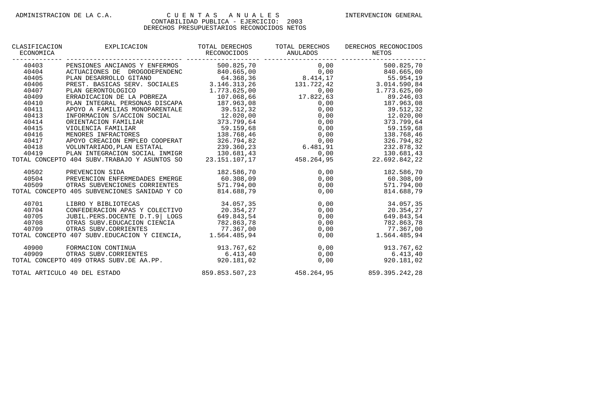| CLASIFICACION<br>ECONOMICA | EXPLICACION                                                                                                                   | TOTAL DERECHOS<br>RECONOCIDOS<br>______________________________ | TOTAL DERECHOS<br>ANULADOS                                                                                                       | DERECHOS RECONOCIDOS<br>NETOS            |
|----------------------------|-------------------------------------------------------------------------------------------------------------------------------|-----------------------------------------------------------------|----------------------------------------------------------------------------------------------------------------------------------|------------------------------------------|
| 40403                      | PENSIONES ANCIANOS Y ENFERMOS                                                                                                 | 500.825,70                                                      | 0,00                                                                                                                             | 500.825,70                               |
| 40404<br>40405             | ACTUACIONES DE DROGODEPENDENC                                                                                                 |                                                                 | $840.665,00$<br>$840.665,00$<br>$146.368,36$<br>$146.313,26$<br>$1.773.625,00$<br>$1.773.625,00$<br>$1.773.686,66$<br>$1.732,63$ | 840.665,00                               |
| 40405                      | PLAN DESARROLLO GITANO                                                                                                        |                                                                 |                                                                                                                                  | 55.954,19                                |
| 40406                      | PREST. BASICAS SERV. SOCIALES                                                                                                 |                                                                 |                                                                                                                                  | 3.014.590.84                             |
| 40407                      | PLAN GERONTOLOGICO                                                                                                            |                                                                 |                                                                                                                                  | 1.773.625,00                             |
| 40409                      | ERRADICACION DE LA POBREZA                                                                                                    | 107.068,66                                                      | 17.822,63                                                                                                                        | 89.246,03                                |
| 40410                      | PLAN INTEGRAL PERSONAS DISCAPA                                                                                                | 187.963,08                                                      | 0,00                                                                                                                             | 187.963,08                               |
| 40411                      | APOYO A FAMILIAS MONOPARENTALE                                                                                                | 39.512,32                                                       | 0,00                                                                                                                             | 39.512,32                                |
| 40413                      | INFORMACION S/ACCION SOCIAL                                                                                                   |                                                                 | 0,00                                                                                                                             | 12.020,00                                |
| 40414                      | ORIENTACION FAMILIAR                                                                                                          | 12.020,00<br>373.799,64                                         | 0,00                                                                                                                             | 373.799,64                               |
| 40415                      | VIOLENCIA FAMILIAR                                                                                                            | 59.159,68                                                       | 0,00                                                                                                                             | 59.159,68                                |
| 40416                      | MENORES INFRACTORES                                                                                                           | 138.768,46                                                      | 0,00                                                                                                                             | 138.768,46                               |
| 40417                      | APOYO CREACION EMPLEO COOPERAT                                                                                                | 326.794,82                                                      | 0,00<br>0,00<br>6.481,91                                                                                                         | 326.794,82                               |
| 40418                      | VOLUNTARIADO, PLAN ESTATAL                                                                                                    | 239.360,23                                                      |                                                                                                                                  | 232.878,32                               |
|                            | 40419 PLAN INTEGRACION SOCIAL INMIGR 130.681,43 0,00<br>TOTAL CONCEPTO 404 SUBV.TRABAJO Y ASUNTOS SO 23.151.107,17 458.264,95 |                                                                 |                                                                                                                                  | 130.681,43                               |
|                            |                                                                                                                               |                                                                 |                                                                                                                                  | 22.692.842,22                            |
| 40502                      | PREVENCION SIDA                                                                                                               | 182.586,70                                                      | 0,00                                                                                                                             | 182.586,70                               |
| 40504                      | PREVENCION ENFERMEDADES EMERGE                                                                                                | 60.308,09                                                       | 0,00                                                                                                                             | 60.308,09                                |
| 40509                      | OTRAS SUBVENCIONES CORRIENTES 571.794,00                                                                                      |                                                                 | 0,00                                                                                                                             | 571.794,00                               |
|                            | TOTAL CONCEPTO 405 SUBVENCIONES SANIDAD Y CO                                                                                  | 814.688,79                                                      | 0,00                                                                                                                             | 814.688,79                               |
| 40701                      | LIBRO Y BIBLIOTECAS                                                                                                           | 34.057,35                                                       | 0,00                                                                                                                             | 34.057,35                                |
| 40704                      | CONFEDERACION APAS Y COLECTIVO                                                                                                | 20.354,27                                                       | 0,00                                                                                                                             | 20.354,27                                |
| 40705                      | JUBIL.PERS.DOCENTE D.T.9 LOGS                                                                                                 | 649.843,54                                                      | 0,00                                                                                                                             | 649.843,54                               |
| 40708                      | OTRAS SUBV. EDUCACION CIENCIA 782.863,78                                                                                      |                                                                 | 0,00                                                                                                                             | 782.863,78                               |
| 40709                      | OTRAS SUBV. CORRIENTES                                                                                                        | 77.367,00                                                       | 0,00                                                                                                                             | 77.367,00                                |
|                            | TOTAL CONCEPTO 407 SUBV. EDUCACION Y CIENCIA, 1.564.485,94                                                                    |                                                                 | 0,00                                                                                                                             | 1.564.485,94                             |
| 40900                      | FORMACION CONTINUA                                                                                                            | 913.767,62                                                      | 0,00                                                                                                                             | 913.767,62                               |
| 40909                      | OTRAS SUBV. CORRIENTES                                                                                                        | 6.413, 40                                                       | 0,00                                                                                                                             | 6.413,40                                 |
|                            | TOTAL CONCEPTO 409 OTRAS SUBV.DE AA.PP. 920.181,02                                                                            |                                                                 |                                                                                                                                  | 0,00<br>920.181,02                       |
|                            | TOTAL ARTICULO 40 DEL ESTADO                                                                                                  |                                                                 |                                                                                                                                  | 859.853.507,23 458.264,95 859.395.242,28 |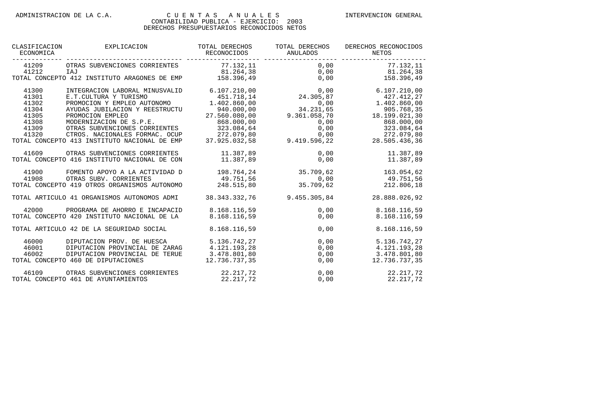| CLASIFICACION<br>ECONOMICA                                           | EXPLICACION                                                                                                                                                                                                                                                                                | TOTAL DERECHOS<br>RECONOCIDOS                                                                                        | TOTAL DERECHOS<br>ANULADOS           | DERECHOS RECONOCIDOS<br>NETOS                                                                                                                                                                                                                                          |
|----------------------------------------------------------------------|--------------------------------------------------------------------------------------------------------------------------------------------------------------------------------------------------------------------------------------------------------------------------------------------|----------------------------------------------------------------------------------------------------------------------|--------------------------------------|------------------------------------------------------------------------------------------------------------------------------------------------------------------------------------------------------------------------------------------------------------------------|
| ---------<br>41209<br>41212                                          | OTRAS SUBVENCIONES CORRIENTES<br>IAJ<br>TOTAL CONCEPTO 412 INSTITUTO ARAGONES DE EMP                                                                                                                                                                                                       | 77.132,11                                                                                                            | 0,00                                 | 77.132,11                                                                                                                                                                                                                                                              |
| 41300<br>41301<br>41302<br>41304<br>41305<br>41308<br>41309<br>41320 | INTEGRACION LABORAL MINUSVALID<br>E.T.CULTURA Y TURISMO<br>PROMOCION Y EMPLEO AUTONOMO<br>AYUDAS JUBILACION Y REESTRUCTU<br>PROMOCION EMPLEO<br>MODERNIZACION DE S.P.E.<br>OTRAS SUBVENCIONES CORRIENTES<br>CTROS. NACIONALES FORMAC. OCUP<br>TOTAL CONCEPTO 413 INSTITUTO NACIONAL DE EMP | 451.718,14<br>1.402.860,00<br>940.000,00<br>27.560.080,00<br>868.000,00<br>323.084.64<br>272.079,80<br>37.925.032.58 | 0,00<br>0,00<br>0,00<br>9.419.596,22 | $\begin{array}{cccc} 6.107.210\,, 00 & 0\,, 00 & 6.107.210\,, 00 \\ 451.718\,, 14 & 24.305\,, 87 & 427.412\,, 27 \end{array}$<br>1.402.860,00<br>34.231,65 905.768,35<br>9.361.058,70 18.199.021,30<br>868.000,00<br>323.084,64<br>0,00<br>272.079,80<br>28.505.436.36 |
| 41609                                                                | OTRAS SUBVENCIONES CORRIENTES<br>TOTAL CONCEPTO 416 INSTITUTO NACIONAL DE CON                                                                                                                                                                                                              | 11.387,89                                                                                                            | $11.387,89$ 0,00<br>0,00             | 11.387,89<br>11.387,89                                                                                                                                                                                                                                                 |
| 41900<br>41908                                                       | FOMENTO APOYO A LA ACTIVIDAD D<br>OTRAS SUBV. CORRIENTES<br>TOTAL CONCEPTO 419 OTROS ORGANISMOS AUTONOMO                                                                                                                                                                                   | 198.764,24 35.709,62<br>49.751,56 0,00<br>248.515,80                                                                 | 35.709,62                            | 163.054,62<br>49.751,56<br>212.806,18                                                                                                                                                                                                                                  |
|                                                                      | TOTAL ARTICULO 41 ORGANISMOS AUTONOMOS ADMI 38.343.332.76                                                                                                                                                                                                                                  |                                                                                                                      | 9.455.305.84                         | 28.888.026.92                                                                                                                                                                                                                                                          |
| 42000                                                                | PROGRAMA DE AHORRO E INCAPACID<br>TOTAL CONCEPTO 420 INSTITUTO NACIONAL DE LA                                                                                                                                                                                                              | 8.168.116,59<br>8.168.116,59                                                                                         | 0,00<br>0,00                         | 8.168.116,59<br>8.168.116,59                                                                                                                                                                                                                                           |
|                                                                      | TOTAL ARTICULO 42 DE LA SEGURIDAD SOCIAL                                                                                                                                                                                                                                                   | 8.168.116,59                                                                                                         | 0,00                                 | 8.168.116,59                                                                                                                                                                                                                                                           |
| 46000<br>46001<br>46002                                              | DIPUTACION PROV. DE HUESCA<br>DIPUTACION PROVINCIAL DE ZARAG<br>DIPUTACION PROVINCIAL DE TERUE<br>TOTAL CONCEPTO 460 DE DIPUTACIONES                                                                                                                                                       | 5.136.742,27<br>4.121.193,28<br>3.478.801,80<br>12.736.737,35                                                        | 0,00<br>0,00<br>0,00<br>0,00         | 5.136.742,27<br>4.121.193.28<br>3.478.801,80<br>12.736.737,35                                                                                                                                                                                                          |
| 46109                                                                | OTRAS SUBVENCIONES CORRIENTES<br>TOTAL CONCEPTO 461 DE AYUNTAMIENTOS                                                                                                                                                                                                                       | 22.217,72<br>22.217,72                                                                                               | 0,00<br>0,00                         | 22.217,72<br>22.217,72                                                                                                                                                                                                                                                 |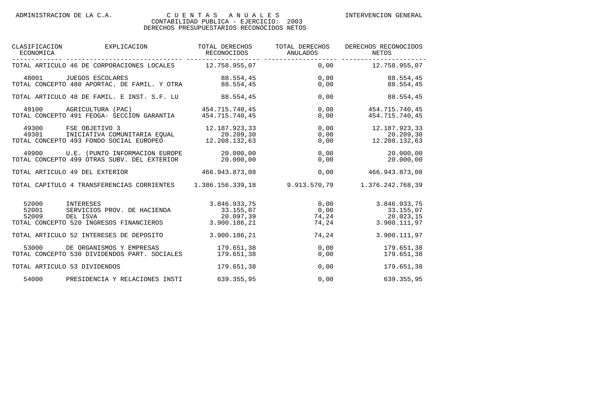| CLASIFICACION<br>ECONOMICA | EXPLICACION                                                                                                                                                                           | TOTAL DERECHOS<br>RECONOCIDOS                          | TOTAL DERECHOS<br><b>ANULADOS</b> | DERECHOS RECONOCIDOS<br>NETOS                                                      |
|----------------------------|---------------------------------------------------------------------------------------------------------------------------------------------------------------------------------------|--------------------------------------------------------|-----------------------------------|------------------------------------------------------------------------------------|
|                            | TOTAL ARTICULO 46 DE CORPORACIONES LOCALES 12.758.955,07 0,00 12.758.955,07                                                                                                           |                                                        |                                   |                                                                                    |
|                            | 48001 JUEGOS ESCOLARES<br>TOTAL CONCEPTO 480 APORTAC. DE FAMIL. Y OTRA                                                                                                                | 88.554,45                                              | 88.554,45                         | 0,00<br>88.554,45<br>0,00<br>88.554,45                                             |
|                            | TOTAL ARTICULO 48 DE FAMIL. E INST. S.F. LU 88.554,45                                                                                                                                 |                                                        | 0,00                              | 88.554,45                                                                          |
|                            | 49100 AGRICULTURA (PAC)<br>TOTAL CONCEPTO 491 FEOGA- SECCION GARANTIA 454.715.740,45                                                                                                  | 454.715.740,45                                         | 0,00                              | $0,00$ 454.715.740,45<br>454.715.740,45                                            |
| 49301                      | FSE OBJETIVO 3 12.187.923,33<br>INICIATIVA COMUNITARIA EQUAL 20.209,30<br>O 493 FONDO SOCIAL EUROPEO 12.208.132,63<br>49300 FSE OBJETIVO 3<br>TOTAL CONCEPTO 493 FONDO SOCIAL EUROPEO |                                                        | 0,00                              | $0,00$ 12.187.923,33<br>20.209,30<br>$0,00$ 12.208.132,63                          |
|                            | 49900 U.E. (PUNTO INFORMACION EUROPE 20.000,00<br>TOTAL CONCEPTO 499 OTRAS SUBV. DEL EXTERIOR                                                                                         | 20.000.00                                              | 0,00                              | 20.000,00<br>0,00<br>20.000,00                                                     |
|                            | TOTAL ARTICULO 49 DEL EXTERIOR                                                                                                                                                        | 466.943.873.08                                         | 0,00                              | 466.943.873,08                                                                     |
|                            | TOTAL CAPITULO 4 TRANSFERENCIAS CORRIENTES 1.386.156.339,18 9.913.570,79                                                                                                              |                                                        |                                   | 1.376.242.768,39                                                                   |
| 52000<br>52001<br>52009    | INTERESES<br>SERVICIOS PROV. DE HACIENDA<br>INTERESES<br>DEL ISVA<br>TOTAL CONCEPTO 520 INGRESOS FINANCIEROS                                                                          | 3.846.933,75<br>33.155,07<br>20.097,39<br>3.900.186,21 | 0.00<br>0,00                      | 3.846.933,75<br>$0,00$<br>74,24<br>33.155,07<br>20.023,15<br>74,24<br>3.900.111,97 |
|                            | TOTAL ARTICULO 52 INTERESES DE DEPOSITO                                                                                                                                               | 3.900.186,21                                           |                                   | 74,24<br>3.900.111,97                                                              |
| 53000                      | DE ORGANISMOS Y EMPRESAS<br>TOTAL CONCEPTO 530 DIVIDENDOS PART. SOCIALES                                                                                                              | 179.651,38<br>179.651.38                               | 0,00<br>0,00                      | 179.651,38<br>179.651,38                                                           |
|                            | TOTAL ARTICULO 53 DIVIDENDOS                                                                                                                                                          | 179.651,38                                             | 0,00                              | 179.651,38                                                                         |
| 54000                      | PRESIDENCIA Y RELACIONES INSTI                                                                                                                                                        | 639.355,95                                             | 0,00                              | 639.355,95                                                                         |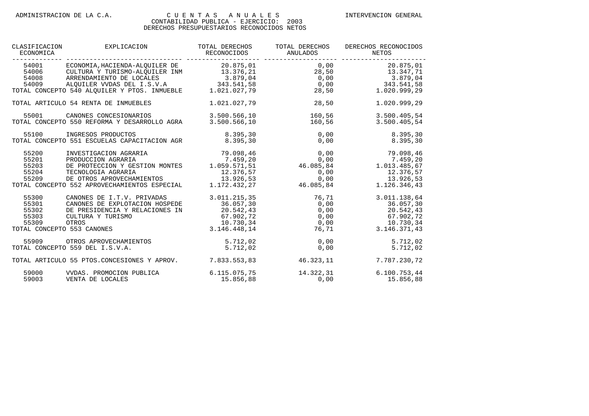| CLASIFICACION<br>ECONOMICA                                              | EXPLICACION                                                                                                                                                                                                                                                                             | TOTAL DERECHOS<br>RECONOCIDOS                                                    | TOTAL DERECHOS<br>ANULADOS            | DERECHOS RECONOCIDOS<br>NETOS                                                             |
|-------------------------------------------------------------------------|-----------------------------------------------------------------------------------------------------------------------------------------------------------------------------------------------------------------------------------------------------------------------------------------|----------------------------------------------------------------------------------|---------------------------------------|-------------------------------------------------------------------------------------------|
| 54001                                                                   | ECONOMIA, HACIENDA-ALOUILER DE 20.875, 01<br>34006 CULTURA Y TURISMO-ALQUILER INM<br>54006 CULTURA Y TURISMO-ALQUILER INM<br>54008 ARRENDAMIENTO DE LOCALES<br>54009 ALQUILER VVDAS DEL I.S.V.A<br>54009 ALQUILER VVDAS DEL I.S.V.A<br>70TAL CONCEPTO 540 ALQUILER Y PTOS. INMUEBLE<br> |                                                                                  |                                       | $0,00$ 20.875,01                                                                          |
|                                                                         |                                                                                                                                                                                                                                                                                         |                                                                                  |                                       |                                                                                           |
|                                                                         | TOTAL ARTICULO 54 RENTA DE INMUEBLES                                                                                                                                                                                                                                                    | 1.021.027,79                                                                     | 28,50                                 | 1.020.999,29                                                                              |
| 55001                                                                   | CANONES CONCESIONARIOS<br>TOTAL CONCEPTO 550 REFORMA Y DESARROLLO AGRA                                                                                                                                                                                                                  | 3.500.566, 10<br>3.500.566,10                                                    |                                       | 160,56<br>3.500.405,54<br>160, 56<br>3.500.405,54                                         |
| 55100                                                                   | INGRESOS PRODUCTOS<br>TOTAL CONCEPTO 551 ESCUELAS CAPACITACION AGR 6.395,30                                                                                                                                                                                                             | 8.395, 30                                                                        | 0,00<br>0, 00                         | 8.395,30<br>8.395,30                                                                      |
| 55200<br>55201<br>55203<br>55204<br>55209                               | INVESTIGACION AGRARIA<br>PRODUCCION AGRARIA $7.459,20$<br>DE PROTECCION Y GESTION MONTES 1.059.571,51 $46.085,84$ 1.013.485,67<br>TECNOLOGIA AGRARIA 12.376,57<br>DE OTROS APROVECHAMIENTOS 13.926,53<br>TOTAL CONCEPTO 552 APROVECHAMIENTOS ESPECIAL                                   | 79.098,46                                                                        | 0, 00<br>$1.172.432.27$ $46.085.84$   | 79.098,46<br>0,00 12.376,57<br>0,00 13.926,53<br>1.126.346,43                             |
| 55300<br>55301<br>55302<br>55303<br>55309<br>TOTAL CONCEPTO 553 CANONES | CANONES DE I.T.V. PRIVADAS<br>CANONES DE EXPLOTACION HOSPEDE<br>DE PRESIDENCIA Y RELACIONES IN<br>CULTURA Y TURISMO<br>OTROS                                                                                                                                                            | 3.011.215,35<br>36.057,30<br>20.542,43<br>67.902,72<br>10.730,34<br>3.146.448,14 | 76,71<br>0,00<br>0,00<br>0,00<br>0,00 | 3.011.138,64<br>36.057,30<br>20.542,43<br>67.902,72<br>10.730,34<br>3.146.371,43<br>76,71 |
|                                                                         | 55909 OTROS APROVECHAMIENTOS<br>TOTAL CONCEPTO 559 DEL I.S.V.A.                                                                                                                                                                                                                         | 5.712,02<br>5.712,02                                                             | 0,00<br>0,00                          | 5.712,02<br>5.712,02                                                                      |
|                                                                         | TOTAL ARTICULO 55 PTOS.CONCESIONES Y APROV.                                                                                                                                                                                                                                             |                                                                                  | 7.833.553,83 46.323,11                | 7.787.230,72                                                                              |
| 59000<br>59003                                                          | VVDAS. PROMOCION PUBLICA<br>VENTA DE LOCALES                                                                                                                                                                                                                                            | 6.115.075,75<br>15.856,88                                                        | $14.322, 31$<br>0,00                  | 6.100.753,44<br>15.856,88                                                                 |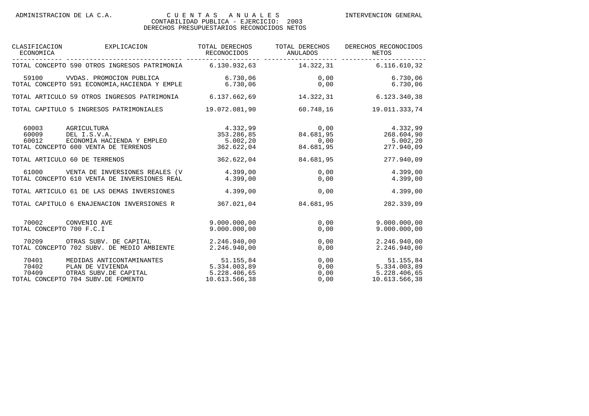| CLASIFICACION<br>ECONOMICA                     | EXPLICACION                                                                                                                    | TOTAL DERECHOS                                             | TOTAL DERECHOS<br>RECONOCIDOS ANULADOS | DERECHOS RECONOCIDOS<br>NETOS                                                                |
|------------------------------------------------|--------------------------------------------------------------------------------------------------------------------------------|------------------------------------------------------------|----------------------------------------|----------------------------------------------------------------------------------------------|
|                                                | TOTAL CONCEPTO 590 OTROS INGRESOS PATRIMONIA 6.130.932,63 14.322,31 6.116.610,32                                               |                                                            |                                        |                                                                                              |
|                                                | 59100 VVDAS. PROMOCION PUBLICA 6.730,06 6 0,00<br>TOTAL CONCEPTO 591 ECONOMIA, HACIENDA Y EMPLE 6.730,06 6 0,00                |                                                            |                                        | 6.730,06<br>6.730,06                                                                         |
|                                                | TOTAL ARTICULO 59 OTROS INGRESOS PATRIMONIA 6.137.662,69                                                                       |                                                            | 14.322,31                              | 6.123.340,38                                                                                 |
|                                                | TOTAL CAPITULO 5 INGRESOS PATRIMONIALES 19.072.081,90                                                                          |                                                            |                                        | 60.748,16 19.011.333,74                                                                      |
| 60003<br>60009<br>60012                        | AGRICULTURA<br>DEL I.S.V.A.<br>ECONOMIA HACIENDA Y EMPLEO $5.002,20$ $0,00$<br>TOTAL CONCEPTO 600 VENTA DE TERRENOS 362.622,04 |                                                            | 84.681,95                              | $4.332,99$<br>353.286,85<br>363.286,85<br>84.681,95<br>268.604,90<br>5.002, 20<br>277.940,09 |
| TOTAL ARTICULO 60 DE TERRENOS                  |                                                                                                                                | 362.622,04                                                 | 84.681,95                              | 277.940,09                                                                                   |
| 61000                                          | VENTA DE INVERSIONES REALES (V 4.399,00<br>TOTAL CONCEPTO 610 VENTA DE INVERSIONES REAL                                        | 4.399,00                                                   | 0,00                                   | 4.399,00<br>0,00<br>4.399,00                                                                 |
|                                                | TOTAL ARTICULO 61 DE LAS DEMAS INVERSIONES 4.399,00                                                                            |                                                            | 0,00                                   | 4.399,00                                                                                     |
|                                                | TOTAL CAPITULO 6 ENAJENACION INVERSIONES R 367.021,04                                                                          |                                                            | 84.681,95                              | 282.339,09                                                                                   |
| 70002 CONVENIO AVE<br>TOTAL CONCEPTO 700 F.C.I |                                                                                                                                | 9.000.000,00<br>9.000.000.00                               | 0,00<br>0,00                           | 9.000.000.00<br>9.000.000.00                                                                 |
|                                                | 70209 OTRAS SUBV. DE CAPITAL 2.246.940,00<br>TOTAL CONCEPTO 702 SUBV. DE MEDIO AMBIENTE                                        | 2.246.940,00                                               | 0,00<br>0,00                           | 2.246.940,00<br>2.246.940,00                                                                 |
| 70401<br>70402                                 | MEDIDAS ANTICONTAMINANTES<br>PLAN DE VIVIENDA<br>70409 OTRAS SUBV.DE CAPITAL<br>TOTAL CONCEPTO 704 SUBV.DE FOMENTO             | 51.155,84<br>5.334.003,89<br>5.228.406,65<br>10.613.566.38 |                                        | 0,00 51.155,84<br>0,00 5.334.003,89<br>0,00 5.228.406,65<br>0,00 10.613.566,38               |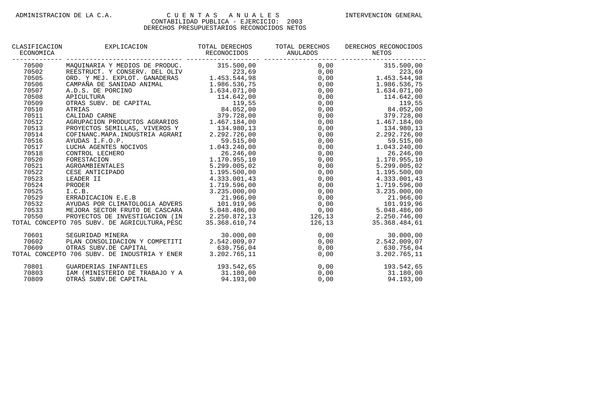#### CONTABILIDAD PUBLICA - EJERCICIO: 2003 DERECHOS PRESUPUESTARIOS RECONOCIDOS NETOS

| CLASIFICACION<br>ECONOMICA | EXPLICACION                                   | TOTAL DERECHOS<br>RECONOCIDOS | TOTAL DERECHOS<br>ANULADOS | DERECHOS RECONOCIDOS<br>NETOS |
|----------------------------|-----------------------------------------------|-------------------------------|----------------------------|-------------------------------|
| 70500                      | MAOUINARIA Y MEDIOS DE PRODUC. 315.500,00     |                               | 0,00                       | 315.500,00                    |
| 70502                      | REESTRUCT. Y CONSERV. DEL OLIV                | 223,69                        | 0,00                       | 223,69                        |
| 70505                      | ORD. Y MEJ. EXPLOT. GANADERAS                 | 1.453.544,98                  | 0,00                       | 1.453.544,98                  |
| 70506                      | CAMPAÑA DE SANIDAD ANIMAL                     | 1.986.536,75                  | 0,00                       | 1.986.536,75                  |
| 70507                      | A.D.S. DE PORCINO                             | 1.634.071,00                  | 0,00                       | 1.634.071,00                  |
| 70508                      | APICULTURA                                    | 114.642,00                    | 0,00                       | 114.642,00                    |
| 70509                      | OTRAS SUBV. DE CAPITAL                        | 119,55                        | 0,00                       | 119,55                        |
| 70510                      | ATRIAS                                        | 84.052,00                     | 0,00                       | 84.052,00                     |
| 70511                      | CALIDAD CARNE                                 | 379.728,00                    | 0,00                       | 379.728,00                    |
| 70512                      | AGRUPACION PRODUCTOS AGRARIOS                 | 1.467.184,00                  | 0,00                       | 1.467.184,00                  |
| 70513                      | PROYECTOS SEMILLAS, VIVEROS Y                 | 134.980,13                    | 0,00                       | 134.980,13                    |
| 70514                      | COFINANC.MAPA.INDUSTRIA AGRARI                | 2.292.726,00                  | 0,00                       | 2.292.726,00                  |
| 70516                      | AYUDAS I.F.O.P.                               | 59.515,00                     | 0,00                       | 59.515,00                     |
| 70517                      | LUCHA AGENTES NOCIVOS                         | 1.043.240,00                  | 0,00                       | 1.043.240,00                  |
| 70518                      | CONTROL LECHERO                               | 26.246,00                     | 0,00                       | 26.246,00                     |
| 70520                      | FORESTACION                                   | 1.170.955,10                  | 0,00                       | 1.170.955,10                  |
| 70521                      | AGROAMBIENTALES                               | 5.299.005,02                  | 0,00                       | 5.299.005,02                  |
| 70522                      | CESE ANTICIPADO                               | 1.195.500,00                  | 0,00                       | 1.195.500,00                  |
| 70523                      | LEADER II                                     | 4.333.001,43                  | 0,00                       | 4.333.001,43                  |
| 70524                      | PRODER                                        | 1.719.596,00                  | 0,00                       | 1.719.596,00                  |
| 70525                      | I.C.B.                                        | 3.235.000,00                  | 0,00                       | 3.235.000,00                  |
| 70529                      | ERRADICACION E.E.B                            | 21.966,00                     | 0,00                       | 21.966,00                     |
| 70532                      | AYUDAS POR CLIMATOLOGÍA ADVERS                | 101.919.96                    | 0,00                       | 101.919,96                    |
| 70533                      | MEJORA SECTOR FRUTO DE CASCARA                | 5.048.486.00                  | 0,00                       | 5.048.486,00                  |
| 70550                      | PROYECTOS DE INVESTIGACION (IN                | 2.250.872,13                  | 126,13                     | 2.250.746,00                  |
|                            | TOTAL CONCEPTO 705 SUBV. DE AGRICULTURA, PESC | 35.368.610,74                 | 126,13                     | 35.368.484,61                 |
| 70601                      | SEGURIDAD MINERA                              | 30.000,00                     | 0,00                       | 30.000,00                     |
| 70602                      | PLAN CONSOLIDACION Y COMPETITI                | 2.542.009,07                  | 0,00                       | 2.542.009,07                  |
| 70609                      | OTRAS SUBV.DE CAPITAL                         | 630.756,04                    | 0,00                       | 630.756,04                    |
|                            | TOTAL CONCEPTO 706 SUBV. DE INDUSTRIA Y ENER  | 3.202.765,11                  | 0,00                       | 3.202.765,11                  |

70801 GUARDERIAS INFANTILES 193.542,65 0,00 193.542,65

70803 IAM (MINISTERIO DE TRABAJO Y A 31.180,00 0,00 31.180,00

OTRAS SUBV.DE CAPITAL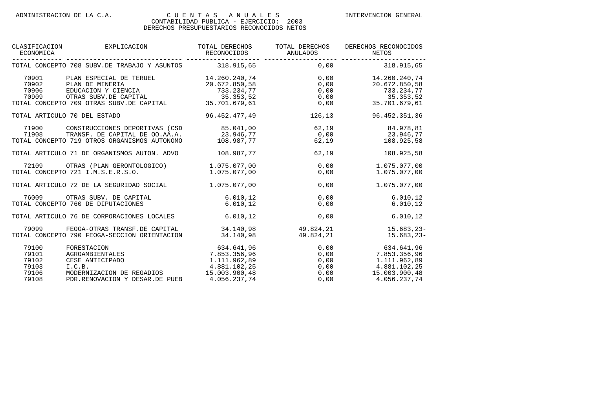| CLASIFICACION<br>ECONOMICA                         | EXPLICACION                                                                                                                                                                                                                                              | TOTAL DERECHOS                                                           | TOTAL DERECHOS<br>RECONOCIDOS ANULADOS | DERECHOS RECONOCIDOS<br>NETOS                                                                                  |
|----------------------------------------------------|----------------------------------------------------------------------------------------------------------------------------------------------------------------------------------------------------------------------------------------------------------|--------------------------------------------------------------------------|----------------------------------------|----------------------------------------------------------------------------------------------------------------|
|                                                    | TOTAL CONCEPTO 708 SUBV.DE TRABAJO Y ASUNTOS 318.915,65 0,00 318.915,65                                                                                                                                                                                  |                                                                          |                                        |                                                                                                                |
| 70901<br>70902<br>70906                            | 9 14.260.240,74<br>PLAN ESPECIAL DE TERUEL<br>PLAN DE MINERIA<br>EDUCACION Y CIENCIA<br>CENTRE CAPITAL<br>PLAN DE MINERIA<br>20.672.850,58<br>20.672.850,58<br>20.672.850,58<br>20.672.850,58<br>20.672.850,58<br>20.672.850,58<br>20.672.850,58<br>20.6 |                                                                          |                                        |                                                                                                                |
|                                                    | 70909 OTRAS SUBV.DE CAPITAL 25.353,52<br>TOTAL CONCEPTO 709 OTRAS SUBV.DE CAPITAL 25.701.679,61                                                                                                                                                          |                                                                          |                                        |                                                                                                                |
|                                                    | TOTAL ARTICULO 70 DEL ESTADO                                                                                                                                                                                                                             | 96.452.477,49                                                            | 126,13                                 | 96.452.351,36                                                                                                  |
| 71908                                              | 71900 CONSTRUCCIONES DEPORTIVAS (CSD 85.041,00<br>TRANSF. DE CAPITAL DE OO.AA.A. 23.946,77 0 0,00 23.946,77<br>TOTAL CONCEPTO 719 OTROS ORGANISMOS AUTONOMO                                                                                              | 108.987,77                                                               |                                        | $62,19$ $84.978,81$<br>62,19<br>108.925,58                                                                     |
|                                                    | TOTAL ARTICULO 71 DE ORGANISMOS AUTON. ADVO                                                                                                                                                                                                              | 108.987,77                                                               |                                        | 62,19<br>108.925,58                                                                                            |
|                                                    | 72109 OTRAS (PLAN GERONTOLOGICO) 1.075.077,00<br>TOTAL CONCEPTO 721 I.M.S.E.R.S.O.                                                                                                                                                                       | 1.075.077.00                                                             | 0,00                                   | 1.075.077,00<br>0,00<br>1.075.077,00                                                                           |
|                                                    | TOTAL ARTICULO 72 DE LA SEGURIDAD SOCIAL                                                                                                                                                                                                                 | 1.075.077,00                                                             |                                        | 1.075.077,00<br>0,00                                                                                           |
|                                                    | 76009 OTRAS SUBV. DE CAPITAL<br>TOTAL CONCEPTO 760 DE DIPUTACIONES                                                                                                                                                                                       | 6.010, 12<br>6.010.12                                                    | 0,00                                   | 6.010, 12<br>0,00<br>6.010, 12                                                                                 |
|                                                    | TOTAL ARTICULO 76 DE CORPORACIONES LOCALES                                                                                                                                                                                                               | 6.010, 12                                                                | 0,00                                   | 6.010, 12                                                                                                      |
|                                                    | 79099 FEOGA-OTRAS TRANSF.DE CAPITAL 34.140,98 49.824,21<br>TOTAL CONCEPTO 790 FEOGA-SECCION ORIENTACION                                                                                                                                                  | 34.140,98                                                                | 49.824.21                              | $15.683, 23 -$<br>$15.683, 23 -$                                                                               |
| 79100<br>79101<br>79102<br>79103<br>79106<br>79108 | FORESTACION<br>AGROAMBIENTALES<br>CESE ANTICIPADO<br>I.C.B.<br>MODERNIZACION DE REGADIOS 15.003.900,48<br>PDR.RENOVACION Y DESAR.DE PUEB                                                                                                                 | $634.641,96$<br>3.355.96<br>7.853.356,96<br>1.111.962,89<br>4.056.237,74 |                                        | 0,00<br>0,00 7.853.356,96<br>0,00 1.111.962,89<br>0,00 4.881.102,25<br>0,00 15.003.900,48<br>0,00 4.056.237,74 |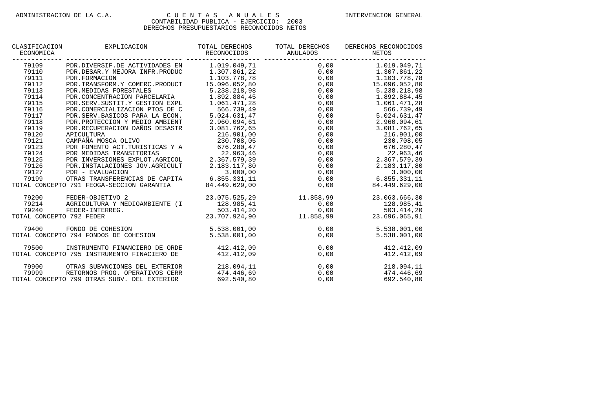| CLASIFICACION<br>ECONOMICA | EXPLICACION                                 | TOTAL DERECHOS<br>RECONOCIDOS | TOTAL DERECHOS<br>ANULADOS | DERECHOS RECONOCIDOS<br>NETOS                |
|----------------------------|---------------------------------------------|-------------------------------|----------------------------|----------------------------------------------|
| 79109                      | PDR.DIVERSIF.DE ACTIVIDADES EN              | 1.019.049,71                  |                            | $0,00$ 1.019.049,71                          |
| 79110                      | PDR.DESAR.Y MEJORA INFR.PRODUC              | 1.307.861,22                  |                            | $0,00$ $1.307.861,22$<br>0,00 $1.103.778,78$ |
| 79111                      | PDR. FORMACION                              | 1.103.778,78                  |                            | 0,00                                         |
| 79112                      | PDR. TRANSFORM. Y COMERC. PRODUCT           | 15.096.052,80                 |                            | 0,00<br>15.096.052,80                        |
| 79113                      | PDR.MEDIDAS FORESTALES                      | 5.238.218,98                  | 0,00                       | 5.238.218,98                                 |
| 79114                      | PDR. CONCENTRACION PARCELARIA               | 1.892.884,45                  | 0,00                       | 1.892.884,45                                 |
| 79115                      | PDR. SERV. SUSTIT. Y GESTION EXPL           | 1.061.471,28                  | 0,00                       | 1.061.471,28                                 |
| 79116                      | PDR.COMERCIALIZACION PTOS DE C              | 566.739,49                    | 0,00                       | 566.739,49                                   |
| 79117                      | PDR.SERV.BASICOS PARA LA ECON.              | 5.024.631,47                  | 0,00                       | 5.024.631,47                                 |
| 79118                      | PDR. PROTECCION Y MEDIO AMBIENT             | 2.960.094,61                  | 0,00                       | 2.960.094,61                                 |
| 79119                      | PDR. RECUPERACION DAÑOS DESASTR             | 3.081.762,65                  | 0,00                       | 3.081.762,65                                 |
| 79120                      | APICULTURA                                  | 216.901.00                    | 0,00                       | 216.901.00                                   |
| 79121                      | CAMPAÑA MOSCA OLIVO                         | 230.708,05                    | 0,00                       | 230.708,05                                   |
| 79123                      | PDR FOMENTO ACT.TURISTICAS Y A              | 676.280,47                    | 0,00                       | 676.280, 47                                  |
| 79124                      | PDR MEDIDAS TRANSITORIAS                    | 22.963,46                     | 0,00                       | 22.963,46<br>2.367.579,39                    |
| 79125                      | PDR INVERSIONES EXPLOT.AGRICOL              | 2.367.579,39                  | 0,00                       |                                              |
| 79126                      | PDR. INSTALACIONES JOV. AGRICULT            | 2.183.117,80                  | 0,00                       | 2.183.117,80                                 |
| 79127                      | PDR - EVALUACION                            | 3.000,00                      |                            | 3.000,00<br>$0,00$<br>$0,00$ $6.8$           |
| 79199                      | OTRAS TRANSFERENCIAS DE CAPITA 6.855.331,11 |                               |                            | 6.855.331.11                                 |
|                            | TOTAL CONCEPTO 791 FEOGA-SECCION GARANTIA   | 84.449.629,00                 | 0,00                       | 84.449.629,00                                |
| 79200                      | FEDER-OBJETIVO 2                            | 23.075.525,29                 | 11.858,99                  | 23.063.666,30                                |
| 79214                      | AGRICULTURA Y MEDIOAMBIENTE (I              | 128.985,41                    | 0,00                       | 128.985,41                                   |
| 79240                      | FEDER-INTERREG.                             |                               |                            | 503.414.20                                   |
| TOTAL CONCEPTO 792 FEDER   |                                             | 23.707.924,90                 |                            | 23.696.065,91                                |
| 79400                      | FONDO DE COHESION                           | 5.538.001,00                  | 0,00                       | 5.538.001,00                                 |
|                            | TOTAL CONCEPTO 794 FONDOS DE COHESION       | 5.538.001,00                  | 0,00                       | 5.538.001.00                                 |
| 79500                      | INSTRUMENTO FINANCIERO DE ORDE              | 412.412,09                    | 0,00                       | 412.412,09                                   |
|                            | TOTAL CONCEPTO 795 INSTRUMENTO FINACIERO DE | 412.412,09                    | 0,00                       | 412.412,09                                   |
| 79900                      | OTRAS SUBVNCIONES DEL EXTERIOR              | 218.094,11                    | 0,00                       | 218.094,11                                   |
| 79999                      | RETORNOS PROG. OPERATIVOS CERR              | 474.446,69                    | 0,00                       | 474.446,69                                   |
|                            | TOTAL CONCEPTO 799 OTRAS SUBV. DEL EXTERIOR | 692.540,80                    | 0,00                       | 692.540,80                                   |